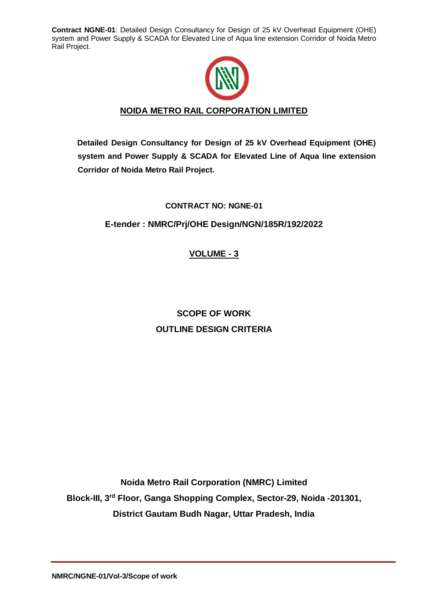

# **NOIDA METRO RAIL CORPORATION LIMITED**

**Detailed Design Consultancy for Design of 25 kV Overhead Equipment (OHE) system and Power Supply & SCADA for Elevated Line of Aqua line extension Corridor of Noida Metro Rail Project.**

# **CONTRACT NO: NGNE-01**

# **E-tender : NMRC/Prj/OHE Design/NGN/185R/192/2022**

# **VOLUME - 3**

# **SCOPE OF WORK OUTLINE DESIGN CRITERIA**

**Noida Metro Rail Corporation (NMRC) Limited Block-III, 3rd Floor, Ganga Shopping Complex, Sector-29, Noida -201301, District Gautam Budh Nagar, Uttar Pradesh, India**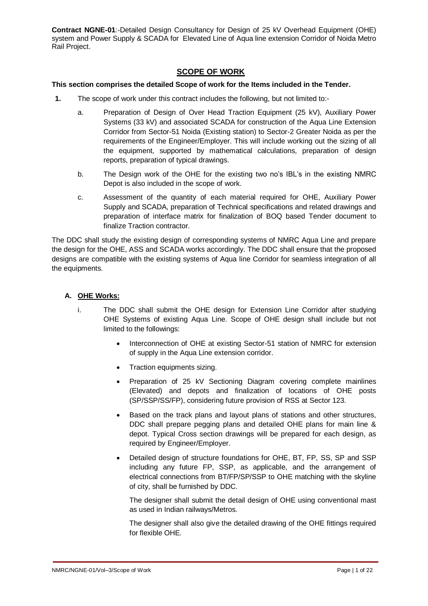# **SCOPE OF WORK**

# **This section comprises the detailed Scope of work for the Items included in the Tender.**

- **1.** The scope of work under this contract includes the following, but not limited to:
	- a. Preparation of Design of Over Head Traction Equipment (25 kV), Auxiliary Power Systems (33 kV) and associated SCADA for construction of the Aqua Line Extension Corridor from Sector-51 Noida (Existing station) to Sector-2 Greater Noida as per the requirements of the Engineer/Employer. This will include working out the sizing of all the equipment, supported by mathematical calculations, preparation of design reports, preparation of typical drawings.
	- b. The Design work of the OHE for the existing two no's IBL's in the existing NMRC Depot is also included in the scope of work.
	- c. Assessment of the quantity of each material required for OHE, Auxiliary Power Supply and SCADA, preparation of Technical specifications and related drawings and preparation of interface matrix for finalization of BOQ based Tender document to finalize Traction contractor.

The DDC shall study the existing design of corresponding systems of NMRC Aqua Line and prepare the design for the OHE, ASS and SCADA works accordingly. The DDC shall ensure that the proposed designs are compatible with the existing systems of Aqua line Corridor for seamless integration of all the equipments.

# **A. OHE Works:**

- i. The DDC shall submit the OHE design for Extension Line Corridor after studying OHE Systems of existing Aqua Line. Scope of OHE design shall include but not limited to the followings:
	- Interconnection of OHE at existing Sector-51 station of NMRC for extension of supply in the Aqua Line extension corridor.
	- Traction equipments sizing.
	- Preparation of 25 kV Sectioning Diagram covering complete mainlines (Elevated) and depots and finalization of locations of OHE posts (SP/SSP/SS/FP), considering future provision of RSS at Sector 123.
	- Based on the track plans and layout plans of stations and other structures, DDC shall prepare pegging plans and detailed OHE plans for main line & depot. Typical Cross section drawings will be prepared for each design, as required by Engineer/Employer.
	- Detailed design of structure foundations for OHE, BT, FP, SS, SP and SSP including any future FP, SSP, as applicable, and the arrangement of electrical connections from BT/FP/SP/SSP to OHE matching with the skyline of city, shall be furnished by DDC.

The designer shall submit the detail design of OHE using conventional mast as used in Indian railways/Metros.

The designer shall also give the detailed drawing of the OHE fittings required for flexible OHE.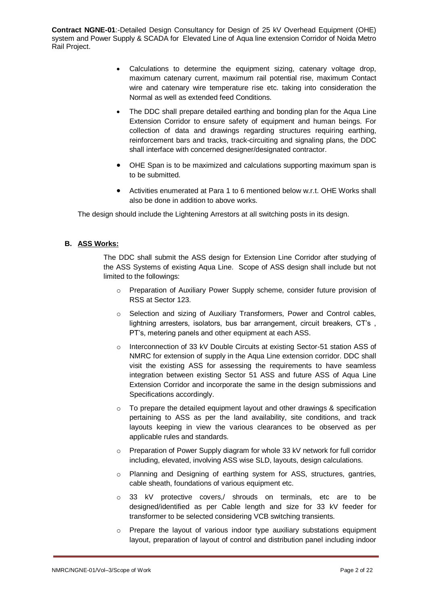- Calculations to determine the equipment sizing, catenary voltage drop, maximum catenary current, maximum rail potential rise, maximum Contact wire and catenary wire temperature rise etc. taking into consideration the Normal as well as extended feed Conditions.
- The DDC shall prepare detailed earthing and bonding plan for the Aqua Line Extension Corridor to ensure safety of equipment and human beings. For collection of data and drawings regarding structures requiring earthing, reinforcement bars and tracks, track-circuiting and signaling plans, the DDC shall interface with concerned designer/designated contractor.
- OHE Span is to be maximized and calculations supporting maximum span is to be submitted.
- Activities enumerated at Para 1 to 6 mentioned below w.r.t. OHE Works shall also be done in addition to above works.

The design should include the Lightening Arrestors at all switching posts in its design.

# **B. ASS Works:**

The DDC shall submit the ASS design for Extension Line Corridor after studying of the ASS Systems of existing Aqua Line. Scope of ASS design shall include but not limited to the followings:

- o Preparation of Auxiliary Power Supply scheme, consider future provision of RSS at Sector 123.
- o Selection and sizing of Auxiliary Transformers, Power and Control cables, lightning arresters, isolators, bus bar arrangement, circuit breakers, CT's, PT's, metering panels and other equipment at each ASS.
- o Interconnection of 33 kV Double Circuits at existing Sector-51 station ASS of NMRC for extension of supply in the Aqua Line extension corridor. DDC shall visit the existing ASS for assessing the requirements to have seamless integration between existing Sector 51 ASS and future ASS of Aqua Line Extension Corridor and incorporate the same in the design submissions and Specifications accordingly.
- $\circ$  To prepare the detailed equipment layout and other drawings & specification pertaining to ASS as per the land availability, site conditions, and track layouts keeping in view the various clearances to be observed as per applicable rules and standards.
- $\circ$  Preparation of Power Supply diagram for whole 33 kV network for full corridor including, elevated, involving ASS wise SLD, layouts, design calculations.
- o Planning and Designing of earthing system for ASS, structures, gantries, cable sheath, foundations of various equipment etc.
- o 33 kV protective covers,/ shrouds on terminals, etc are to be designed/identified as per Cable length and size for 33 kV feeder for transformer to be selected considering VCB switching transients.
- $\circ$  Prepare the layout of various indoor type auxiliary substations equipment layout, preparation of layout of control and distribution panel including indoor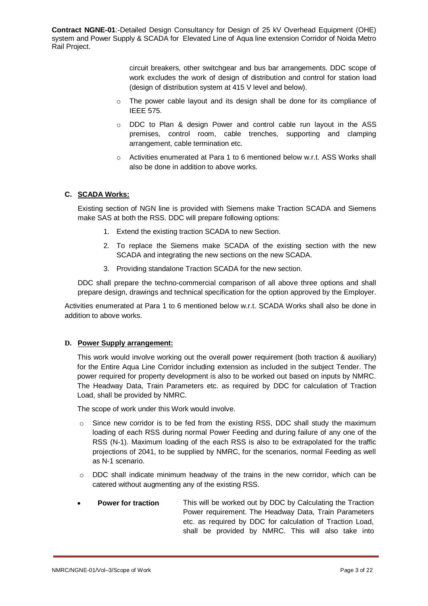> circuit breakers, other switchgear and bus bar arrangements. DDC scope of work excludes the work of design of distribution and control for station load (design of distribution system at 415 V level and below).

- $\circ$  The power cable layout and its design shall be done for its compliance of IEEE 575.
- o DDC to Plan & design Power and control cable run layout in the ASS premises, control room, cable trenches, supporting and clamping arrangement, cable termination etc.
- $\circ$  Activities enumerated at Para 1 to 6 mentioned below w.r.t. ASS Works shall also be done in addition to above works.

# **C. SCADA Works:**

Existing section of NGN line is provided with Siemens make Traction SCADA and Siemens make SAS at both the RSS. DDC will prepare following options:

- 1. Extend the existing traction SCADA to new Section.
- 2. To replace the Siemens make SCADA of the existing section with the new SCADA and integrating the new sections on the new SCADA.
- 3. Providing standalone Traction SCADA for the new section.

DDC shall prepare the techno-commercial comparison of all above three options and shall prepare design, drawings and technical specification for the option approved by the Employer.

Activities enumerated at Para 1 to 6 mentioned below w.r.t. SCADA Works shall also be done in addition to above works.

# **D. Power Supply arrangement:**

This work would involve working out the overall power requirement (both traction & auxiliary) for the Entire Aqua Line Corridor including extension as included in the subject Tender. The power required for property development is also to be worked out based on inputs by NMRC. The Headway Data, Train Parameters etc. as required by DDC for calculation of Traction Load, shall be provided by NMRC.

The scope of work under this Work would involve.

- $\circ$  Since new corridor is to be fed from the existing RSS, DDC shall study the maximum loading of each RSS during normal Power Feeding and during failure of any one of the RSS (N-1). Maximum loading of the each RSS is also to be extrapolated for the traffic projections of 2041, to be supplied by NMRC, for the scenarios, normal Feeding as well as N-1 scenario.
- $\circ$  DDC shall indicate minimum headway of the trains in the new corridor, which can be catered without augmenting any of the existing RSS.
- **Power for traction** This will be worked out by DDC by Calculating the Traction Power requirement. The Headway Data, Train Parameters etc. as required by DDC for calculation of Traction Load, shall be provided by NMRC. This will also take into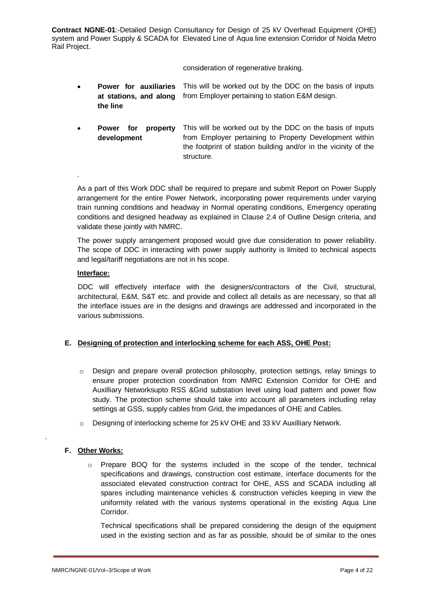consideration of regenerative braking.

- **Power for auxiliaries**  This will be worked out by the DDC on the basis of inputs **at stations, and along**  from Employer pertaining to station E&M design. **the line**
- **Power for property development** This will be worked out by the DDC on the basis of inputs from Employer pertaining to Property Development within the footprint of station building and/or in the vicinity of the structure.

.

As a part of this Work DDC shall be required to prepare and submit Report on Power Supply arrangement for the entire Power Network, incorporating power requirements under varying train running conditions and headway in Normal operating conditions, Emergency operating conditions and designed headway as explained in Clause 2.4 of Outline Design criteria, and validate these jointly with NMRC.

The power supply arrangement proposed would give due consideration to power reliability. The scope of DDC in interacting with power supply authority is limited to technical aspects and legal/tariff negotiations are not in his scope.

# **Interface:**

DDC will effectively interface with the designers/contractors of the Civil, structural, architectural, E&M, S&T etc. and provide and collect all details as are necessary, so that all the interface issues are in the designs and drawings are addressed and incorporated in the various submissions.

# **E. Designing of protection and interlocking scheme for each ASS, OHE Post:**

- $\circ$  Design and prepare overall protection philosophy, protection settings, relay timings to ensure proper protection coordination from NMRC Extension Corridor for OHE and Auxilliary Networksupto RSS &Grid substation level using load pattern and power flow study. The protection scheme should take into account all parameters including relay settings at GSS, supply cables from Grid, the impedances of OHE and Cables.
- o Designing of interlocking scheme for 25 kV OHE and 33 kV Auxilliary Network.

# **F. Other Works:**

.

 $\circ$  Prepare BOQ for the systems included in the scope of the tender, technical specifications and drawings, construction cost estimate, interface documents for the associated elevated construction contract for OHE, ASS and SCADA including all spares including maintenance vehicles & construction vehicles keeping in view the uniformity related with the various systems operational in the existing Aqua Line Corridor.

Technical specifications shall be prepared considering the design of the equipment used in the existing section and as far as possible, should be of similar to the ones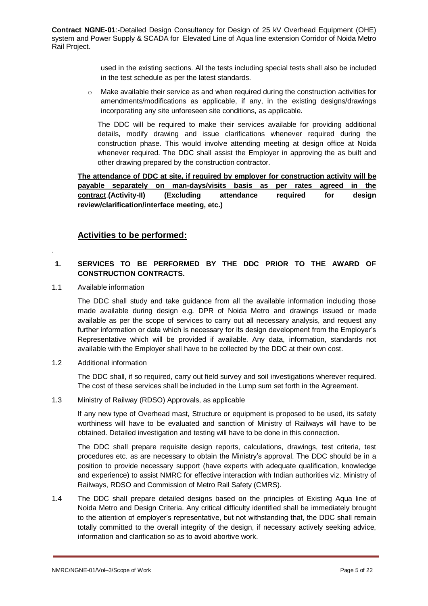> used in the existing sections. All the tests including special tests shall also be included in the test schedule as per the latest standards.

 $\circ$  Make available their service as and when required during the construction activities for amendments/modifications as applicable, if any, in the existing designs/drawings incorporating any site unforeseen site conditions, as applicable.

The DDC will be required to make their services available for providing additional details, modify drawing and issue clarifications whenever required during the construction phase. This would involve attending meeting at design office at Noida whenever required. The DDC shall assist the Employer in approving the as built and other drawing prepared by the construction contractor.

**The attendance of DDC at site, if required by employer for construction activity will be payable separately on man-days/visits basis as per rates agreed in the contract**.**(Activity-II) (Excluding attendance required for design review/clarification/interface meeting, etc.)**

# **Activities to be performed:**

# **1. SERVICES TO BE PERFORMED BY THE DDC PRIOR TO THE AWARD OF CONSTRUCTION CONTRACTS.**

1.1 Available information

.

The DDC shall study and take guidance from all the available information including those made available during design e.g. DPR of Noida Metro and drawings issued or made available as per the scope of services to carry out all necessary analysis, and request any further information or data which is necessary for its design development from the Employer's Representative which will be provided if available. Any data, information, standards not available with the Employer shall have to be collected by the DDC at their own cost.

# 1.2 Additional information

The DDC shall, if so required, carry out field survey and soil investigations wherever required. The cost of these services shall be included in the Lump sum set forth in the Agreement.

#### 1.3 Ministry of Railway (RDSO) Approvals, as applicable

If any new type of Overhead mast, Structure or equipment is proposed to be used, its safety worthiness will have to be evaluated and sanction of Ministry of Railways will have to be obtained. Detailed investigation and testing will have to be done in this connection.

The DDC shall prepare requisite design reports, calculations, drawings, test criteria, test procedures etc. as are necessary to obtain the Ministry's approval. The DDC should be in a position to provide necessary support (have experts with adequate qualification, knowledge and experience) to assist NMRC for effective interaction with Indian authorities viz. Ministry of Railways, RDSO and Commission of Metro Rail Safety (CMRS).

1.4 The DDC shall prepare detailed designs based on the principles of Existing Aqua line of Noida Metro and Design Criteria. Any critical difficulty identified shall be immediately brought to the attention of employer's representative, but not withstanding that, the DDC shall remain totally committed to the overall integrity of the design, if necessary actively seeking advice, information and clarification so as to avoid abortive work.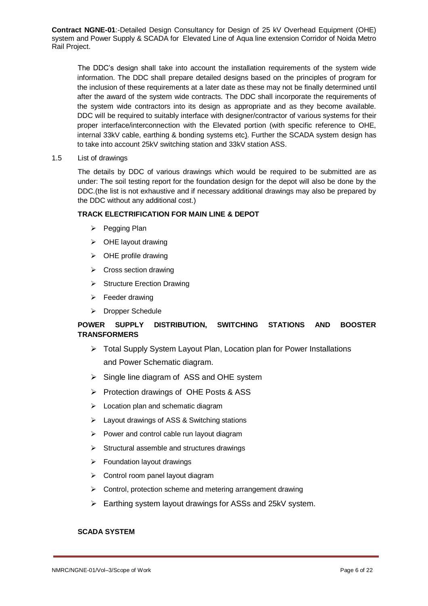The DDC's design shall take into account the installation requirements of the system wide information. The DDC shall prepare detailed designs based on the principles of program for the inclusion of these requirements at a later date as these may not be finally determined until after the award of the system wide contracts. The DDC shall incorporate the requirements of the system wide contractors into its design as appropriate and as they become available. DDC will be required to suitably interface with designer/contractor of various systems for their proper interface/interconnection with the Elevated portion (with specific reference to OHE, internal 33kV cable, earthing & bonding systems etc). Further the SCADA system design has to take into account 25kV switching station and 33kV station ASS.

## 1.5 List of drawings

The details by DDC of various drawings which would be required to be submitted are as under: The soil testing report for the foundation design for the depot will also be done by the DDC.(the list is not exhaustive and if necessary additional drawings may also be prepared by the DDC without any additional cost.)

# **TRACK ELECTRIFICATION FOR MAIN LINE & DEPOT**

- $\triangleright$  Pegging Plan
- $\triangleright$  OHE layout drawing
- $\triangleright$  OHE profile drawing
- $\triangleright$  Cross section drawing
- $\triangleright$  Structure Erection Drawing
- $\triangleright$  Feeder drawing
- > Dropper Schedule

# **POWER SUPPLY DISTRIBUTION, SWITCHING STATIONS AND BOOSTER TRANSFORMERS**

- Total Supply System Layout Plan, Location plan for Power Installations and Power Schematic diagram.
- $\triangleright$  Single line diagram of ASS and OHE system
- $\triangleright$  Protection drawings of OHE Posts & ASS
- $\triangleright$  Location plan and schematic diagram
- Layout drawings of ASS & Switching stations
- $\triangleright$  Power and control cable run layout diagram
- $\triangleright$  Structural assemble and structures drawings
- $\triangleright$  Foundation lavout drawings
- ▶ Control room panel layout diagram
- $\triangleright$  Control, protection scheme and metering arrangement drawing
- $\triangleright$  Earthing system layout drawings for ASSs and 25kV system.

# **SCADA SYSTEM**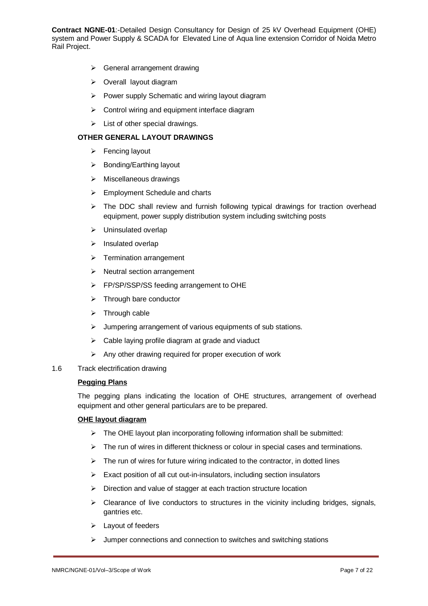- $\triangleright$  General arrangement drawing
- > Overall layout diagram
- $\triangleright$  Power supply Schematic and wiring layout diagram
- $\triangleright$  Control wiring and equipment interface diagram
- $\triangleright$  List of other special drawings.

#### **OTHER GENERAL LAYOUT DRAWINGS**

- $\triangleright$  Fencing layout
- $\triangleright$  Bonding/Earthing layout
- $\triangleright$  Miscellaneous drawings
- $\triangleright$  Employment Schedule and charts
- $\triangleright$  The DDC shall review and furnish following typical drawings for traction overhead equipment, power supply distribution system including switching posts
- $\triangleright$  Uninsulated overlap
- $\triangleright$  Insulated overlap
- $\triangleright$  Termination arrangement
- $\triangleright$  Neutral section arrangement
- FP/SP/SSP/SS feeding arrangement to OHE
- $\triangleright$  Through bare conductor
- $\triangleright$  Through cable
- $\triangleright$  Jumpering arrangement of various equipments of sub stations.
- $\triangleright$  Cable laying profile diagram at grade and viaduct
- $\triangleright$  Any other drawing required for proper execution of work
- 1.6 Track electrification drawing

## **Pegging Plans**

The pegging plans indicating the location of OHE structures, arrangement of overhead equipment and other general particulars are to be prepared.

#### **OHE layout diagram**

- $\triangleright$  The OHE layout plan incorporating following information shall be submitted:
- $\triangleright$  The run of wires in different thickness or colour in special cases and terminations.
- $\triangleright$  The run of wires for future wiring indicated to the contractor, in dotted lines
- $\triangleright$  Exact position of all cut out-in-insulators, including section insulators
- $\triangleright$  Direction and value of stagger at each traction structure location
- $\triangleright$  Clearance of live conductors to structures in the vicinity including bridges, signals, gantries etc.
- $\blacktriangleright$  Layout of feeders
- $\triangleright$  Jumper connections and connection to switches and switching stations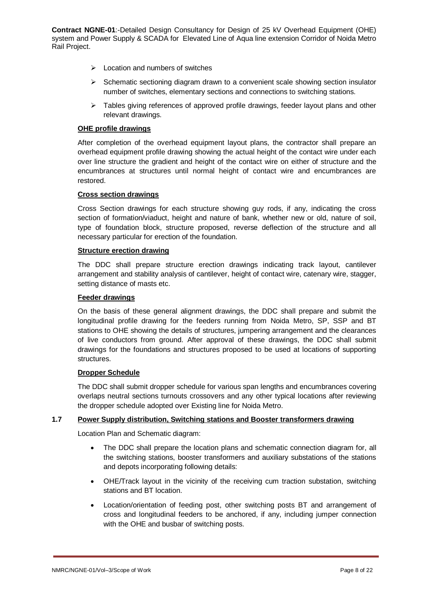- $\triangleright$  Location and numbers of switches
- $\triangleright$  Schematic sectioning diagram drawn to a convenient scale showing section insulator number of switches, elementary sections and connections to switching stations.
- $\triangleright$  Tables giving references of approved profile drawings, feeder layout plans and other relevant drawings.

#### **OHE profile drawings**

After completion of the overhead equipment layout plans, the contractor shall prepare an overhead equipment profile drawing showing the actual height of the contact wire under each over line structure the gradient and height of the contact wire on either of structure and the encumbrances at structures until normal height of contact wire and encumbrances are restored.

## **Cross section drawings**

Cross Section drawings for each structure showing guy rods, if any, indicating the cross section of formation/viaduct, height and nature of bank, whether new or old, nature of soil, type of foundation block, structure proposed, reverse deflection of the structure and all necessary particular for erection of the foundation.

## **Structure erection drawing**

The DDC shall prepare structure erection drawings indicating track layout, cantilever arrangement and stability analysis of cantilever, height of contact wire, catenary wire, stagger, setting distance of masts etc.

#### **Feeder drawings**

On the basis of these general alignment drawings, the DDC shall prepare and submit the longitudinal profile drawing for the feeders running from Noida Metro, SP, SSP and BT stations to OHE showing the details of structures, jumpering arrangement and the clearances of live conductors from ground. After approval of these drawings, the DDC shall submit drawings for the foundations and structures proposed to be used at locations of supporting structures.

#### **Dropper Schedule**

The DDC shall submit dropper schedule for various span lengths and encumbrances covering overlaps neutral sections turnouts crossovers and any other typical locations after reviewing the dropper schedule adopted over Existing line for Noida Metro.

# **1.7 Power Supply distribution, Switching stations and Booster transformers drawing**

Location Plan and Schematic diagram:

- The DDC shall prepare the location plans and schematic connection diagram for, all the switching stations, booster transformers and auxiliary substations of the stations and depots incorporating following details:
- OHE/Track layout in the vicinity of the receiving cum traction substation, switching stations and BT location.
- Location/orientation of feeding post, other switching posts BT and arrangement of cross and longitudinal feeders to be anchored, if any, including jumper connection with the OHE and busbar of switching posts.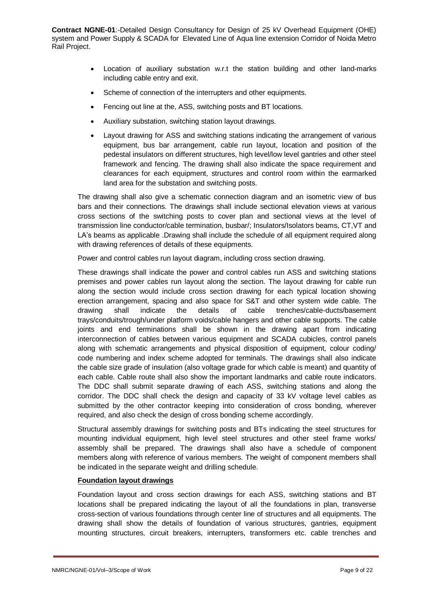- Location of auxiliary substation w.r.t the station building and other land-marks including cable entry and exit.
- Scheme of connection of the interrupters and other equipments.
- Fencing out line at the, ASS, switching posts and BT locations.
- Auxiliary substation, switching station layout drawings.
- Layout drawing for ASS and switching stations indicating the arrangement of various equipment, bus bar arrangement, cable run layout, location and position of the pedestal insulators on different structures, high level/low level gantries and other steel framework and fencing. The drawing shall also indicate the space requirement and clearances for each equipment, structures and control room within the earmarked land area for the substation and switching posts.

The drawing shall also give a schematic connection diagram and an isometric view of bus bars and their connections. The drawings shall include sectional elevation views at various cross sections of the switching posts to cover plan and sectional views at the level of transmission line conductor/cable termination, busbar/; Insulators/Isolators beams, CT,VT and LA's beams as applicable .Drawing shall include the schedule of all equipment required along with drawing references of details of these equipments.

Power and control cables run layout diagram, including cross section drawing.

These drawings shall indicate the power and control cables run ASS and switching stations premises and power cables run layout along the section. The layout drawing for cable run along the section would include cross section drawing for each typical location showing erection arrangement, spacing and also space for S&T and other system wide cable. The drawing shall indicate the details of cable trenches/cable-ducts/basement trays/conduits/trough/under platform voids/cable hangers and other cable supports. The cable joints and end terminations shall be shown in the drawing apart from indicating interconnection of cables between various equipment and SCADA cubicles, control panels along with schematic arrangements and physical disposition of equipment, colour coding/ code numbering and index scheme adopted for terminals. The drawings shall also indicate the cable size grade of insulation (also voltage grade for which cable is meant) and quantity of each cable. Cable route shall also show the important landmarks and cable route indicators. The DDC shall submit separate drawing of each ASS, switching stations and along the corridor. The DDC shall check the design and capacity of 33 kV voltage level cables as submitted by the other contractor keeping into consideration of cross bonding, wherever required, and also check the design of cross bonding scheme accordingly.

Structural assembly drawings for switching posts and BTs indicating the steel structures for mounting individual equipment, high level steel structures and other steel frame works/ assembly shall be prepared. The drawings shall also have a schedule of component members along with reference of various members. The weight of component members shall be indicated in the separate weight and drilling schedule.

# **Foundation layout drawings**

Foundation layout and cross section drawings for each ASS, switching stations and BT locations shall be prepared indicating the layout of all the foundations in plan, transverse cross-section of various foundations through center line of structures and all equipments. The drawing shall show the details of foundation of various structures, gantries, equipment mounting structures, circuit breakers, interrupters, transformers etc. cable trenches and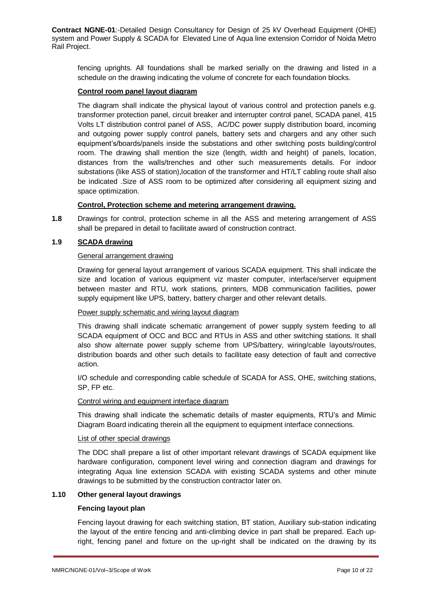fencing uprights. All foundations shall be marked serially on the drawing and listed in a schedule on the drawing indicating the volume of concrete for each foundation blocks.

## **Control room panel layout diagram**

The diagram shall indicate the physical layout of various control and protection panels e.g. transformer protection panel, circuit breaker and interrupter control panel, SCADA panel, 415 Volts LT distribution control panel of ASS, AC/DC power supply distribution board, incoming and outgoing power supply control panels, battery sets and chargers and any other such equipment's/boards/panels inside the substations and other switching posts building/control room. The drawing shall mention the size (length, width and height) of panels, location, distances from the walls/trenches and other such measurements details. For indoor substations (like ASS of station),location of the transformer and HT/LT cabling route shall also be indicated .Size of ASS room to be optimized after considering all equipment sizing and space optimization.

## **Control, Protection scheme and metering arrangement drawing.**

**1.8** Drawings for control, protection scheme in all the ASS and metering arrangement of ASS shall be prepared in detail to facilitate award of construction contract.

# **1.9 SCADA drawing**

## General arrangement drawing

Drawing for general layout arrangement of various SCADA equipment. This shall indicate the size and location of various equipment viz master computer, interface/server equipment between master and RTU, work stations, printers, MDB communication facilities, power supply equipment like UPS, battery, battery charger and other relevant details.

#### Power supply schematic and wiring layout diagram

This drawing shall indicate schematic arrangement of power supply system feeding to all SCADA equipment of OCC and BCC and RTUs in ASS and other switching stations. It shall also show alternate power supply scheme from UPS/battery, wiring/cable layouts/routes, distribution boards and other such details to facilitate easy detection of fault and corrective action.

I/O schedule and corresponding cable schedule of SCADA for ASS, OHE, switching stations, SP, FP etc.

#### Control wiring and equipment interface diagram

This drawing shall indicate the schematic details of master equipments, RTU's and Mimic Diagram Board indicating therein all the equipment to equipment interface connections.

#### List of other special drawings

The DDC shall prepare a list of other important relevant drawings of SCADA equipment like hardware configuration, component level wiring and connection diagram and drawings for integrating Aqua line extension SCADA with existing SCADA systems and other minute drawings to be submitted by the construction contractor later on.

## **1.10 Other general layout drawings**

#### **Fencing layout plan**

Fencing layout drawing for each switching station, BT station, Auxiliary sub-station indicating the layout of the entire fencing and anti-climbing device in part shall be prepared. Each upright, fencing panel and fixture on the up-right shall be indicated on the drawing by its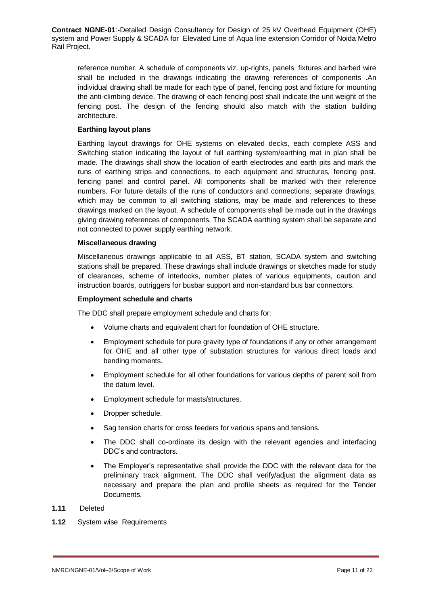reference number. A schedule of components viz. up-rights, panels, fixtures and barbed wire shall be included in the drawings indicating the drawing references of components .An individual drawing shall be made for each type of panel, fencing post and fixture for mounting the anti-climbing device. The drawing of each fencing post shall indicate the unit weight of the fencing post. The design of the fencing should also match with the station building architecture.

## **Earthing layout plans**

Earthing layout drawings for OHE systems on elevated decks, each complete ASS and Switching station indicating the layout of full earthing system/earthing mat in plan shall be made. The drawings shall show the location of earth electrodes and earth pits and mark the runs of earthing strips and connections, to each equipment and structures, fencing post, fencing panel and control panel. All components shall be marked with their reference numbers. For future details of the runs of conductors and connections, separate drawings, which may be common to all switching stations, may be made and references to these drawings marked on the layout. A schedule of components shall be made out in the drawings giving drawing references of components. The SCADA earthing system shall be separate and not connected to power supply earthing network.

#### **Miscellaneous drawing**

Miscellaneous drawings applicable to all ASS, BT station, SCADA system and switching stations shall be prepared. These drawings shall include drawings or sketches made for study of clearances, scheme of interlocks, number plates of various equipments, caution and instruction boards, outriggers for busbar support and non-standard bus bar connectors.

#### **Employment schedule and charts**

The DDC shall prepare employment schedule and charts for:

- Volume charts and equivalent chart for foundation of OHE structure.
- Employment schedule for pure gravity type of foundations if any or other arrangement for OHE and all other type of substation structures for various direct loads and bending moments.
- Employment schedule for all other foundations for various depths of parent soil from the datum level.
- Employment schedule for masts/structures.
- Dropper schedule.
- Sag tension charts for cross feeders for various spans and tensions.
- The DDC shall co-ordinate its design with the relevant agencies and interfacing DDC's and contractors.
- The Employer's representative shall provide the DDC with the relevant data for the preliminary track alignment. The DDC shall verify/adjust the alignment data as necessary and prepare the plan and profile sheets as required for the Tender Documents.

# **1.11** Deleted

**1.12** System wise Requirements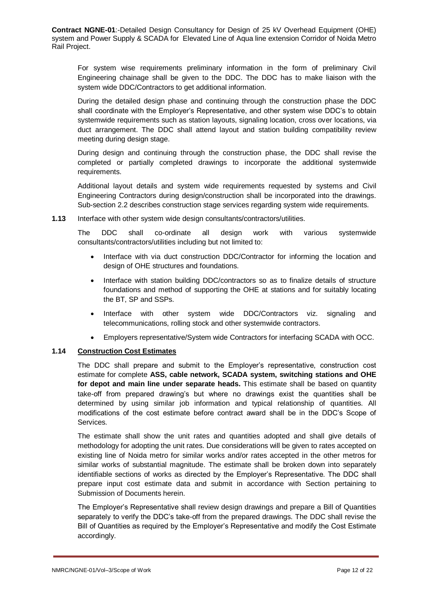For system wise requirements preliminary information in the form of preliminary Civil Engineering chainage shall be given to the DDC. The DDC has to make liaison with the system wide DDC/Contractors to get additional information.

During the detailed design phase and continuing through the construction phase the DDC shall coordinate with the Employer's Representative, and other system wise DDC's to obtain systemwide requirements such as station layouts, signaling location, cross over locations, via duct arrangement. The DDC shall attend layout and station building compatibility review meeting during design stage.

During design and continuing through the construction phase, the DDC shall revise the completed or partially completed drawings to incorporate the additional systemwide requirements.

Additional layout details and system wide requirements requested by systems and Civil Engineering Contractors during design/construction shall be incorporated into the drawings. Sub-section 2.2 describes construction stage services regarding system wide requirements.

**1.13** Interface with other system wide design consultants/contractors/utilities.

The DDC shall co-ordinate all design work with various systemwide consultants/contractors/utilities including but not limited to:

- Interface with via duct construction DDC/Contractor for informing the location and design of OHE structures and foundations.
- Interface with station building DDC/contractors so as to finalize details of structure foundations and method of supporting the OHE at stations and for suitably locating the BT, SP and SSPs.
- Interface with other system wide DDC/Contractors viz. signaling and telecommunications, rolling stock and other systemwide contractors.
- Employers representative/System wide Contractors for interfacing SCADA with OCC.

## **1.14 Construction Cost Estimates**

The DDC shall prepare and submit to the Employer's representative, construction cost estimate for complete **ASS, cable network, SCADA system, switching stations and OHE for depot and main line under separate heads.** This estimate shall be based on quantity take-off from prepared drawing's but where no drawings exist the quantities shall be determined by using similar job information and typical relationship of quantities. All modifications of the cost estimate before contract award shall be in the DDC's Scope of Services.

The estimate shall show the unit rates and quantities adopted and shall give details of methodology for adopting the unit rates. Due considerations will be given to rates accepted on existing line of Noida metro for similar works and/or rates accepted in the other metros for similar works of substantial magnitude. The estimate shall be broken down into separately identifiable sections of works as directed by the Employer's Representative. The DDC shall prepare input cost estimate data and submit in accordance with Section pertaining to Submission of Documents herein.

The Employer's Representative shall review design drawings and prepare a Bill of Quantities separately to verify the DDC's take-off from the prepared drawings. The DDC shall revise the Bill of Quantities as required by the Employer's Representative and modify the Cost Estimate accordingly.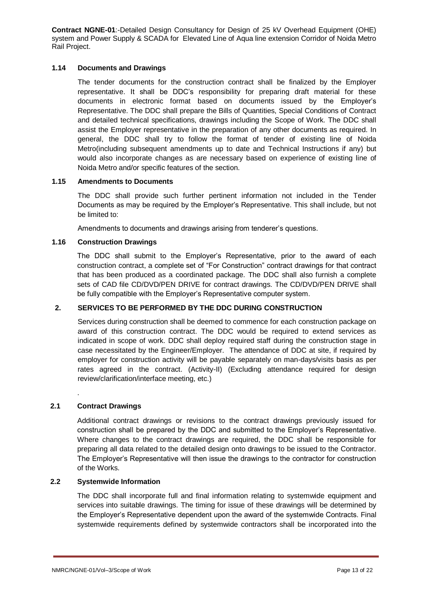# **1.14 Documents and Drawings**

The tender documents for the construction contract shall be finalized by the Employer representative. It shall be DDC's responsibility for preparing draft material for these documents in electronic format based on documents issued by the Employer's Representative. The DDC shall prepare the Bills of Quantities, Special Conditions of Contract and detailed technical specifications, drawings including the Scope of Work. The DDC shall assist the Employer representative in the preparation of any other documents as required. In general, the DDC shall try to follow the format of tender of existing line of Noida Metro(including subsequent amendments up to date and Technical Instructions if any) but would also incorporate changes as are necessary based on experience of existing line of Noida Metro and/or specific features of the section.

## **1.15 Amendments to Documents**

The DDC shall provide such further pertinent information not included in the Tender Documents as may be required by the Employer's Representative. This shall include, but not be limited to:

Amendments to documents and drawings arising from tenderer's questions.

## **1.16 Construction Drawings**

The DDC shall submit to the Employer's Representative, prior to the award of each construction contract, a complete set of "For Construction" contract drawings for that contract that has been produced as a coordinated package. The DDC shall also furnish a complete sets of CAD file CD/DVD/PEN DRIVE for contract drawings. The CD/DVD/PEN DRIVE shall be fully compatible with the Employer's Representative computer system.

# **2. SERVICES TO BE PERFORMED BY THE DDC DURING CONSTRUCTION**

Services during construction shall be deemed to commence for each construction package on award of this construction contract. The DDC would be required to extend services as indicated in scope of work. DDC shall deploy required staff during the construction stage in case necessitated by the Engineer/Employer. The attendance of DDC at site, if required by employer for construction activity will be payable separately on man-days/visits basis as per rates agreed in the contract. (Activity-II) (Excluding attendance required for design review/clarification/interface meeting, etc.)

# . **2.1 Contract Drawings**

Additional contract drawings or revisions to the contract drawings previously issued for construction shall be prepared by the DDC and submitted to the Employer's Representative. Where changes to the contract drawings are required, the DDC shall be responsible for preparing all data related to the detailed design onto drawings to be issued to the Contractor. The Employer's Representative will then issue the drawings to the contractor for construction of the Works.

#### **2.2 Systemwide Information**

The DDC shall incorporate full and final information relating to systemwide equipment and services into suitable drawings. The timing for issue of these drawings will be determined by the Employer's Representative dependent upon the award of the systemwide Contracts. Final systemwide requirements defined by systemwide contractors shall be incorporated into the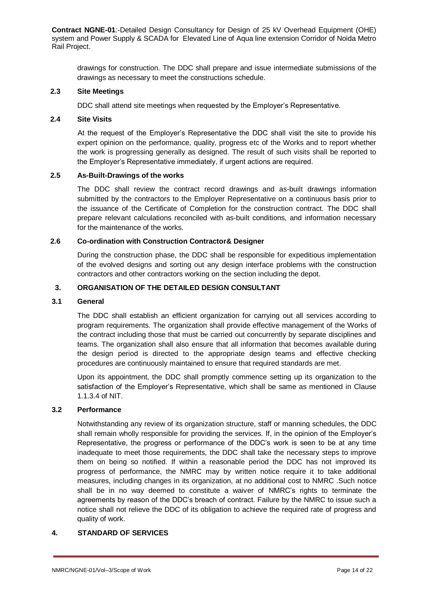drawings for construction. The DDC shall prepare and issue intermediate submissions of the drawings as necessary to meet the constructions schedule.

# **2.3 Site Meetings**

DDC shall attend site meetings when requested by the Employer's Representative.

#### **2.4 Site Visits**

At the request of the Employer's Representative the DDC shall visit the site to provide his expert opinion on the performance, quality, progress etc of the Works and to report whether the work is progressing generally as designed. The result of such visits shall be reported to the Employer's Representative immediately, if urgent actions are required.

## **2.5 As-Built-Drawings of the works**

The DDC shall review the contract record drawings and as-built drawings information submitted by the contractors to the Employer Representative on a continuous basis prior to the issuance of the Certificate of Completion for the construction contract. The DDC shall prepare relevant calculations reconciled with as-built conditions, and information necessary for the maintenance of the works.

# **2.6 Co-ordination with Construction Contractor& Designer**

During the construction phase, the DDC shall be responsible for expeditious implementation of the evolved designs and sorting out any design interface problems with the construction contractors and other contractors working on the section including the depot.

# **3. ORGANISATION OF THE DETAILED DESIGN CONSULTANT**

#### **3.1 General**

The DDC shall establish an efficient organization for carrying out all services according to program requirements. The organization shall provide effective management of the Works of the contract including those that must be carried out concurrently by separate disciplines and teams. The organization shall also ensure that all information that becomes available during the design period is directed to the appropriate design teams and effective checking procedures are continuously maintained to ensure that required standards are met.

Upon its appointment, the DDC shall promptly commence setting up its organization to the satisfaction of the Employer's Representative, which shall be same as mentioned in Clause 1.1.3.4 of NIT.

#### **3.2 Performance**

Notwithstanding any review of its organization structure, staff or manning schedules, the DDC shall remain wholly responsible for providing the services. If, in the opinion of the Employer's Representative, the progress or performance of the DDC's work is seen to be at any time inadequate to meet those requirements, the DDC shall take the necessary steps to improve them on being so notified. If within a reasonable period the DDC has not improved its progress of performance, the NMRC may by written notice require it to take additional measures, including changes in its organization, at no additional cost to NMRC .Such notice shall be in no way deemed to constitute a waiver of NMRC's rights to terminate the agreements by reason of the DDC's breach of contract. Failure by the NMRC to issue such a notice shall not relieve the DDC of its obligation to achieve the required rate of progress and quality of work.

# **4. STANDARD OF SERVICES**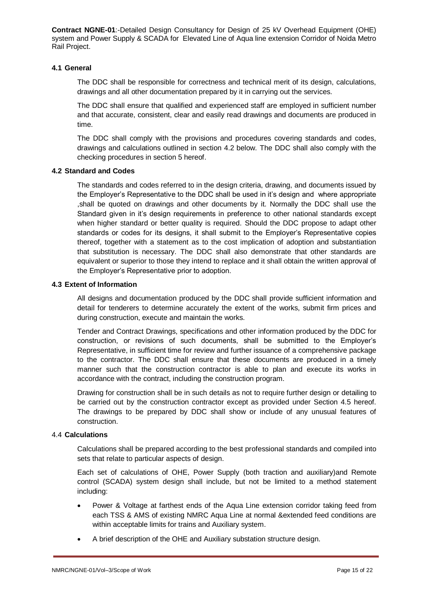# **4.1 General**

The DDC shall be responsible for correctness and technical merit of its design, calculations, drawings and all other documentation prepared by it in carrying out the services.

The DDC shall ensure that qualified and experienced staff are employed in sufficient number and that accurate, consistent, clear and easily read drawings and documents are produced in time.

The DDC shall comply with the provisions and procedures covering standards and codes, drawings and calculations outlined in section 4.2 below. The DDC shall also comply with the checking procedures in section 5 hereof.

## **4.2 Standard and Codes**

The standards and codes referred to in the design criteria, drawing, and documents issued by the Employer's Representative to the DDC shall be used in it's design and where appropriate ,shall be quoted on drawings and other documents by it. Normally the DDC shall use the Standard given in it's design requirements in preference to other national standards except when higher standard or better quality is required. Should the DDC propose to adapt other standards or codes for its designs, it shall submit to the Employer's Representative copies thereof, together with a statement as to the cost implication of adoption and substantiation that substitution is necessary. The DDC shall also demonstrate that other standards are equivalent or superior to those they intend to replace and it shall obtain the written approval of the Employer's Representative prior to adoption.

## **4.3 Extent of Information**

All designs and documentation produced by the DDC shall provide sufficient information and detail for tenderers to determine accurately the extent of the works, submit firm prices and during construction, execute and maintain the works.

Tender and Contract Drawings, specifications and other information produced by the DDC for construction, or revisions of such documents, shall be submitted to the Employer's Representative, in sufficient time for review and further issuance of a comprehensive package to the contractor. The DDC shall ensure that these documents are produced in a timely manner such that the construction contractor is able to plan and execute its works in accordance with the contract, including the construction program.

Drawing for construction shall be in such details as not to require further design or detailing to be carried out by the construction contractor except as provided under Section 4.5 hereof. The drawings to be prepared by DDC shall show or include of any unusual features of construction.

#### 4.4 **Calculations**

Calculations shall be prepared according to the best professional standards and compiled into sets that relate to particular aspects of design.

Each set of calculations of OHE, Power Supply (both traction and auxiliary)and Remote control (SCADA) system design shall include, but not be limited to a method statement including:

- Power & Voltage at farthest ends of the Aqua Line extension corridor taking feed from each TSS & AMS of existing NMRC Aqua Line at normal &extended feed conditions are within acceptable limits for trains and Auxiliary system.
- A brief description of the OHE and Auxiliary substation structure design.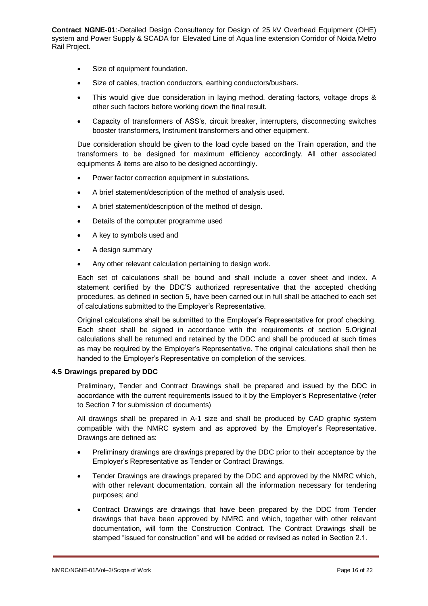- Size of equipment foundation.
- Size of cables, traction conductors, earthing conductors/busbars.
- This would give due consideration in laying method, derating factors, voltage drops & other such factors before working down the final result.
- Capacity of transformers of ASS's, circuit breaker, interrupters, disconnecting switches booster transformers, Instrument transformers and other equipment.

Due consideration should be given to the load cycle based on the Train operation, and the transformers to be designed for maximum efficiency accordingly. All other associated equipments & items are also to be designed accordingly.

- Power factor correction equipment in substations.
- A brief statement/description of the method of analysis used.
- A brief statement/description of the method of design.
- Details of the computer programme used
- A key to symbols used and
- A design summary
- Any other relevant calculation pertaining to design work.

Each set of calculations shall be bound and shall include a cover sheet and index. A statement certified by the DDC'S authorized representative that the accepted checking procedures, as defined in section 5, have been carried out in full shall be attached to each set of calculations submitted to the Employer's Representative.

Original calculations shall be submitted to the Employer's Representative for proof checking. Each sheet shall be signed in accordance with the requirements of section 5.Original calculations shall be returned and retained by the DDC and shall be produced at such times as may be required by the Employer's Representative. The original calculations shall then be handed to the Employer's Representative on completion of the services.

# **4.5 Drawings prepared by DDC**

Preliminary, Tender and Contract Drawings shall be prepared and issued by the DDC in accordance with the current requirements issued to it by the Employer's Representative (refer to Section 7 for submission of documents)

All drawings shall be prepared in A-1 size and shall be produced by CAD graphic system compatible with the NMRC system and as approved by the Employer's Representative. Drawings are defined as:

- Preliminary drawings are drawings prepared by the DDC prior to their acceptance by the Employer's Representative as Tender or Contract Drawings.
- Tender Drawings are drawings prepared by the DDC and approved by the NMRC which, with other relevant documentation, contain all the information necessary for tendering purposes; and
- Contract Drawings are drawings that have been prepared by the DDC from Tender drawings that have been approved by NMRC and which, together with other relevant documentation, will form the Construction Contract. The Contract Drawings shall be stamped "issued for construction" and will be added or revised as noted in Section 2.1.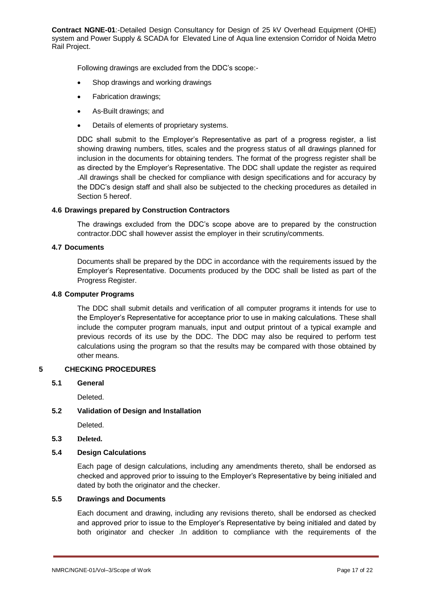Following drawings are excluded from the DDC's scope:-

- Shop drawings and working drawings
- Fabrication drawings;
- As-Built drawings; and
- Details of elements of proprietary systems.

DDC shall submit to the Employer's Representative as part of a progress register, a list showing drawing numbers, titles, scales and the progress status of all drawings planned for inclusion in the documents for obtaining tenders. The format of the progress register shall be as directed by the Employer's Representative. The DDC shall update the register as required .All drawings shall be checked for compliance with design specifications and for accuracy by the DDC's design staff and shall also be subjected to the checking procedures as detailed in Section 5 hereof.

## **4.6 Drawings prepared by Construction Contractors**

The drawings excluded from the DDC's scope above are to prepared by the construction contractor.DDC shall however assist the employer in their scrutiny/comments.

## **4.7 Documents**

Documents shall be prepared by the DDC in accordance with the requirements issued by the Employer's Representative. Documents produced by the DDC shall be listed as part of the Progress Register.

#### **4.8 Computer Programs**

The DDC shall submit details and verification of all computer programs it intends for use to the Employer's Representative for acceptance prior to use in making calculations. These shall include the computer program manuals, input and output printout of a typical example and previous records of its use by the DDC. The DDC may also be required to perform test calculations using the program so that the results may be compared with those obtained by other means.

# **5 CHECKING PROCEDURES**

**5.1 General**

Deleted.

# **5.2 Validation of Design and Installation**

**Deleted** 

**5.3 Deleted.**

# **5.4 Design Calculations**

Each page of design calculations, including any amendments thereto, shall be endorsed as checked and approved prior to issuing to the Employer's Representative by being initialed and dated by both the originator and the checker.

# **5.5 Drawings and Documents**

Each document and drawing, including any revisions thereto, shall be endorsed as checked and approved prior to issue to the Employer's Representative by being initialed and dated by both originator and checker .In addition to compliance with the requirements of the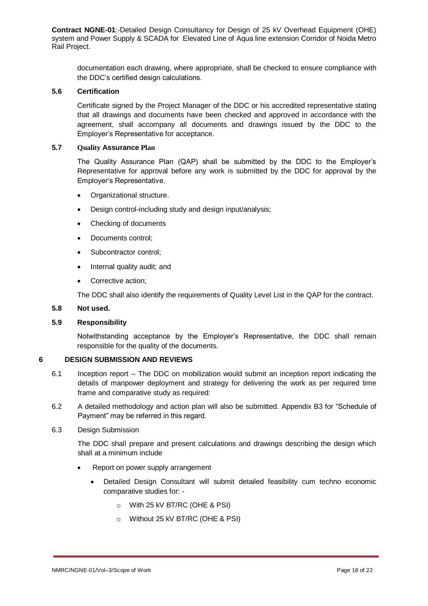documentation each drawing, where appropriate, shall be checked to ensure compliance with the DDC's certified design calculations.

# **5.6 Certification**

Certificate signed by the Project Manager of the DDC or his accredited representative stating that all drawings and documents have been checked and approved in accordance with the agreement, shall accompany all documents and drawings issued by the DDC to the Employer's Representative for acceptance.

#### **5.7 Quality Assurance Plan**

The Quality Assurance Plan (QAP) shall be submitted by the DDC to the Employer's Representative for approval before any work is submitted by the DDC for approval by the Employer's Representative.

- Organizational structure.
- Design control-including study and design input/analysis;
- Checking of documents
- Documents control;
- Subcontractor control;
- Internal quality audit; and
- Corrective action:

The DDC shall also identify the requirements of Quality Level List in the QAP for the contract.

#### **5.8 Not used.**

# **5.9 Responsibility**

Notwithstanding acceptance by the Employer's Representative, the DDC shall remain responsible for the quality of the documents.

# **6 DESIGN SUBMISSION AND REVIEWS**

- 6.1 Inception report The DDC on mobilization would submit an inception report indicating the details of manpower deployment and strategy for delivering the work as per required time frame and comparative study as required:
- 6.2 A detailed methodology and action plan will also be submitted. Appendix B3 for "Schedule of Payment" may be referred in this regard.

# 6.3 Design Submission

The DDC shall prepare and present calculations and drawings describing the design which shall at a minimum include

- Report on power supply arrangement
	- Detailed Design Consultant will submit detailed feasibility cum techno economic comparative studies for:
		- o With 25 kV BT/RC (OHE & PSI)
		- o Without 25 kV BT/RC (OHE & PSI)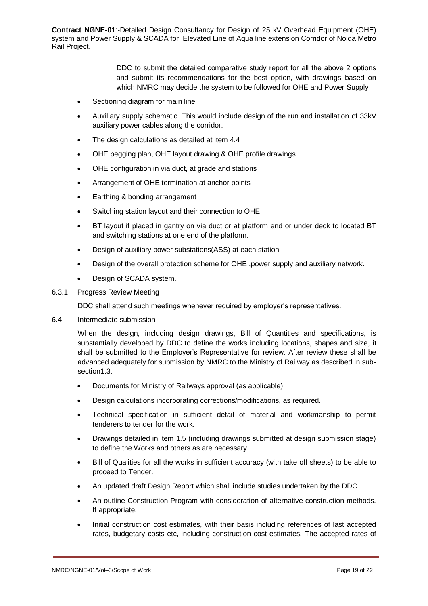> DDC to submit the detailed comparative study report for all the above 2 options and submit its recommendations for the best option, with drawings based on which NMRC may decide the system to be followed for OHE and Power Supply

- Sectioning diagram for main line
- Auxiliary supply schematic .This would include design of the run and installation of 33kV auxiliary power cables along the corridor.
- The design calculations as detailed at item 4.4
- OHE pegging plan, OHE layout drawing & OHE profile drawings.
- OHE configuration in via duct, at grade and stations
- Arrangement of OHE termination at anchor points
- Earthing & bonding arrangement
- Switching station layout and their connection to OHE
- BT layout if placed in gantry on via duct or at platform end or under deck to located BT and switching stations at one end of the platform.
- Design of auxiliary power substations(ASS) at each station
- Design of the overall protection scheme for OHE ,power supply and auxiliary network.
- Design of SCADA system.

#### 6.3.1 Progress Review Meeting

DDC shall attend such meetings whenever required by employer's representatives.

6.4 Intermediate submission

When the design, including design drawings, Bill of Quantities and specifications, is substantially developed by DDC to define the works including locations, shapes and size, it shall be submitted to the Employer's Representative for review. After review these shall be advanced adequately for submission by NMRC to the Ministry of Railway as described in subsection1.3.

- Documents for Ministry of Railways approval (as applicable).
- Design calculations incorporating corrections/modifications, as required.
- Technical specification in sufficient detail of material and workmanship to permit tenderers to tender for the work.
- Drawings detailed in item 1.5 (including drawings submitted at design submission stage) to define the Works and others as are necessary.
- Bill of Qualities for all the works in sufficient accuracy (with take off sheets) to be able to proceed to Tender.
- An updated draft Design Report which shall include studies undertaken by the DDC.
- An outline Construction Program with consideration of alternative construction methods. If appropriate.
- Initial construction cost estimates, with their basis including references of last accepted rates, budgetary costs etc, including construction cost estimates. The accepted rates of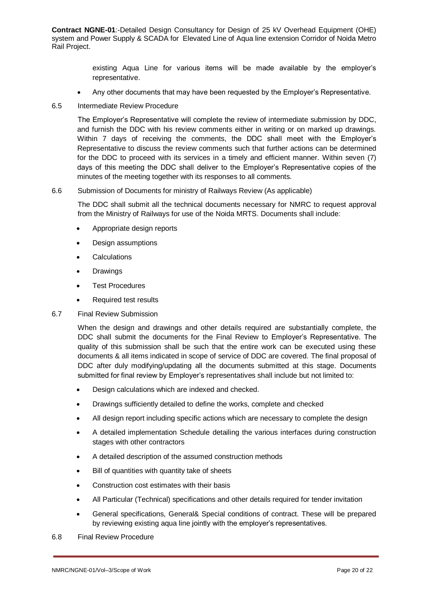> existing Aqua Line for various items will be made available by the employer's representative.

- Any other documents that may have been requested by the Employer's Representative.
- 6.5 Intermediate Review Procedure

The Employer's Representative will complete the review of intermediate submission by DDC, and furnish the DDC with his review comments either in writing or on marked up drawings. Within 7 days of receiving the comments, the DDC shall meet with the Employer's Representative to discuss the review comments such that further actions can be determined for the DDC to proceed with its services in a timely and efficient manner. Within seven (7) days of this meeting the DDC shall deliver to the Employer's Representative copies of the minutes of the meeting together with its responses to all comments.

## 6.6 Submission of Documents for ministry of Railways Review (As applicable)

The DDC shall submit all the technical documents necessary for NMRC to request approval from the Ministry of Railways for use of the Noida MRTS. Documents shall include:

- Appropriate design reports
- Design assumptions
- **•** Calculations
- Drawings
- Test Procedures
- Required test results
- 6.7 Final Review Submission

When the design and drawings and other details required are substantially complete, the DDC shall submit the documents for the Final Review to Employer's Representative. The quality of this submission shall be such that the entire work can be executed using these documents & all items indicated in scope of service of DDC are covered. The final proposal of DDC after duly modifying/updating all the documents submitted at this stage. Documents submitted for final review by Employer's representatives shall include but not limited to:

- Design calculations which are indexed and checked.
- Drawings sufficiently detailed to define the works, complete and checked
- All design report including specific actions which are necessary to complete the design
- A detailed implementation Schedule detailing the various interfaces during construction stages with other contractors
- A detailed description of the assumed construction methods
- Bill of quantities with quantity take of sheets
- Construction cost estimates with their basis
- All Particular (Technical) specifications and other details required for tender invitation
- General specifications, General& Special conditions of contract. These will be prepared by reviewing existing aqua line jointly with the employer's representatives.

#### 6.8 Final Review Procedure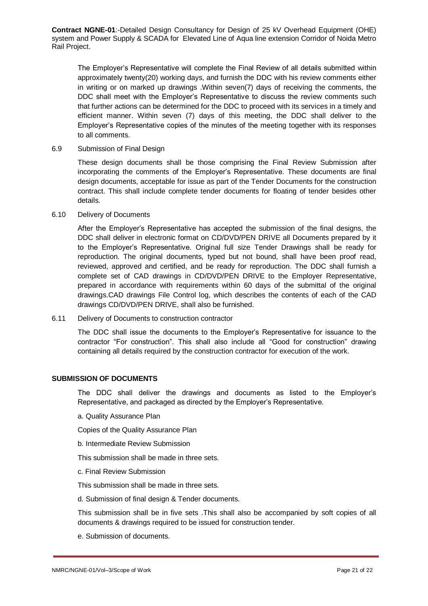The Employer's Representative will complete the Final Review of all details submitted within approximately twenty(20) working days, and furnish the DDC with his review comments either in writing or on marked up drawings .Within seven(7) days of receiving the comments, the DDC shall meet with the Employer's Representative to discuss the review comments such that further actions can be determined for the DDC to proceed with its services in a timely and efficient manner. Within seven (7) days of this meeting, the DDC shall deliver to the Employer's Representative copies of the minutes of the meeting together with its responses to all comments.

#### 6.9 Submission of Final Design

These design documents shall be those comprising the Final Review Submission after incorporating the comments of the Employer's Representative. These documents are final design documents, acceptable for issue as part of the Tender Documents for the construction contract. This shall include complete tender documents for floating of tender besides other details.

#### 6.10 Delivery of Documents

After the Employer's Representative has accepted the submission of the final designs, the DDC shall deliver in electronic format on CD/DVD/PEN DRIVE all Documents prepared by it to the Employer's Representative. Original full size Tender Drawings shall be ready for reproduction. The original documents, typed but not bound, shall have been proof read, reviewed, approved and certified, and be ready for reproduction. The DDC shall furnish a complete set of CAD drawings in CD/DVD/PEN DRIVE to the Employer Representative, prepared in accordance with requirements within 60 days of the submittal of the original drawings.CAD drawings File Control log, which describes the contents of each of the CAD drawings CD/DVD/PEN DRIVE, shall also be furnished.

6.11 Delivery of Documents to construction contractor

The DDC shall issue the documents to the Employer's Representative for issuance to the contractor "For construction". This shall also include all "Good for construction" drawing containing all details required by the construction contractor for execution of the work.

## **SUBMISSION OF DOCUMENTS**

The DDC shall deliver the drawings and documents as listed to the Employer's Representative, and packaged as directed by the Employer's Representative.

a. Quality Assurance Plan

Copies of the Quality Assurance Plan

b. Intermediate Review Submission

This submission shall be made in three sets.

c. Final Review Submission

This submission shall be made in three sets.

d. Submission of final design & Tender documents.

This submission shall be in five sets .This shall also be accompanied by soft copies of all documents & drawings required to be issued for construction tender.

e. Submission of documents.